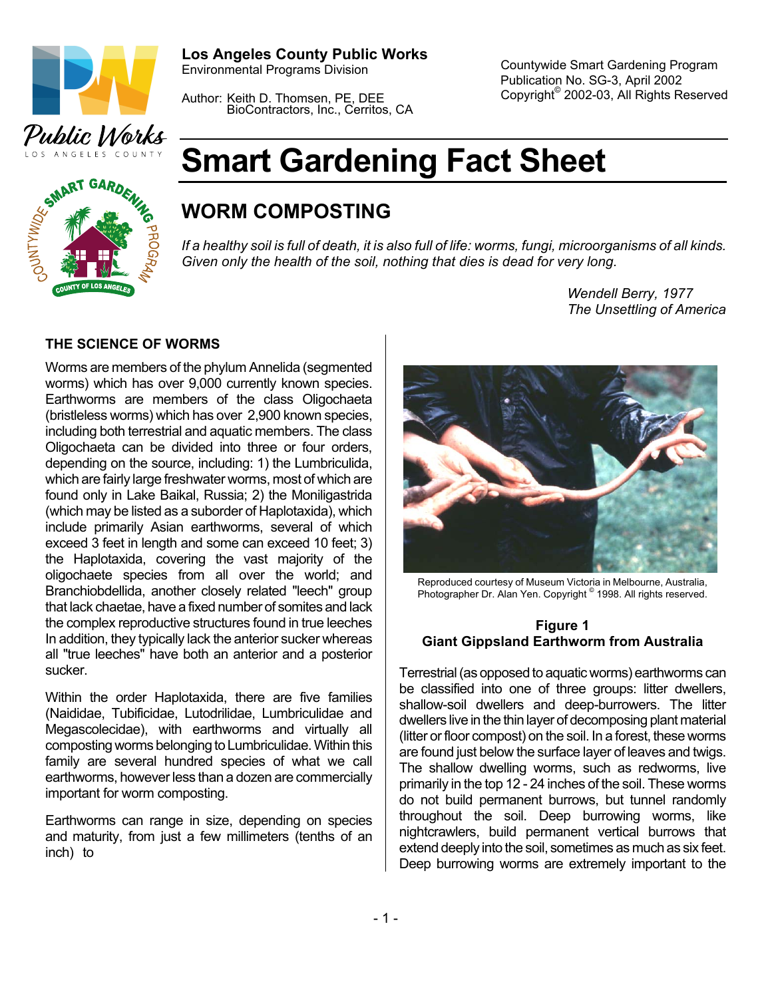

**Los Angeles County Public Works** Environmental Programs Division

Author: Keith D. Thomsen, PE, DEE BioContractors, Inc., Cerritos, CA

Countywide Smart Gardening Program Publication No. SG-3, April 2002 Copyright© 2002-03, All Rights Reserved



# **Smart Gardening Fact Sheet**

# **WORM COMPOSTING**

*If a healthy soil is full of death, it is also full of life: worms, fungi, microorganisms of all kinds. Given only the health of the soil, nothing that dies is dead for very long.* 

# **THE SCIENCE OF WORMS**

Worms are members of the phylum Annelida (segmented worms) which has over 9,000 currently known species. Earthworms are members of the class Oligochaeta (bristleless worms) which has over 2,900 known species, including both terrestrial and aquatic members. The class Oligochaeta can be divided into three or four orders, depending on the source, including: 1) the Lumbriculida, which are fairly large freshwater worms, most of which are found only in Lake Baikal, Russia; 2) the Moniligastrida (which may be listed as a suborder of Haplotaxida), which include primarily Asian earthworms, several of which exceed 3 feet in length and some can exceed 10 feet; 3) the Haplotaxida, covering the vast majority of the oligochaete species from all over the world; and Branchiobdellida, another closely related "leech" group that lack chaetae, have a fixed number of somites and lack the complex reproductive structures found in true leeches In addition, they typically lack the anterior sucker whereas all "true leeches" have both an anterior and a posterior sucker.

Within the order Haplotaxida, there are five families (Naididae, Tubificidae, Lutodrilidae, Lumbriculidae and Megascolecidae), with earthworms and virtually all composting worms belonging to Lumbriculidae. Within this family are several hundred species of what we call earthworms, however less than a dozen are commercially important for worm composting.

Earthworms can range in size, depending on species and maturity, from just a few millimeters (tenths of an inch) to over three meters (10 feet) for the Giant Gippsland Earthworm (Megascolides australis) from Australia.

*Wendell Berry, 1977 The Unsettling of America* 



Reproduced courtesy of Museum Victoria in Melbourne, Australia, Photographer Dr. Alan Yen. Copyright<sup>©</sup> 1998. All rights reserved.

#### **Figure 1 Giant Gippsland Earthworm from Australia**

Terrestrial (as opposed to aquatic worms) earthworms can be classified into one of three groups: litter dwellers, shallow-soil dwellers and deep-burrowers. The litter dwellers live in the thin layer of decomposing plant material (litter or floor compost) on the soil. In a forest, these worms are found just below the surface layer of leaves and twigs. The shallow dwelling worms, such as redworms, live primarily in the top 12 - 24 inches of the soil. These worms do not build permanent burrows, but tunnel randomly throughout the soil. Deep burrowing worms, like nightcrawlers, build permanent vertical burrows that extend deeply into the soil, sometimes as much as six feet. Deep burrowing worms are extremely important to the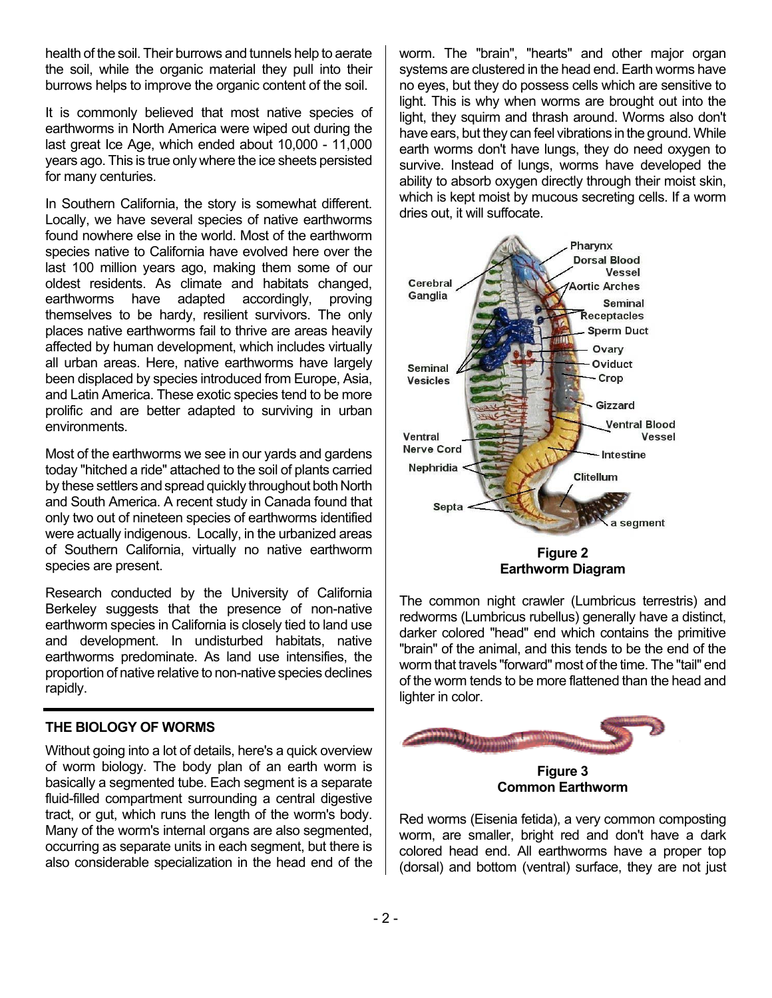health of the soil. Their burrows and tunnels help to aerate the soil, while the organic material they pull into their burrows helps to improve the organic content of the soil.

It is commonly believed that most native species of earthworms in North America were wiped out during the last great Ice Age, which ended about 10,000 - 11,000 years ago. This is true only where the ice sheets persisted for many centuries.

In Southern California, the story is somewhat different. Locally, we have several species of native earthworms found nowhere else in the world. Most of the earthworm species native to California have evolved here over the last 100 million years ago, making them some of our oldest residents. As climate and habitats changed, earthworms have adapted accordingly, proving themselves to be hardy, resilient survivors. The only places native earthworms fail to thrive are areas heavily affected by human development, which includes virtually all urban areas. Here, native earthworms have largely been displaced by species introduced from Europe, Asia, and Latin America. These exotic species tend to be more prolific and are better adapted to surviving in urban environments.

Most of the earthworms we see in our yards and gardens today "hitched a ride" attached to the soil of plants carried by these settlers and spread quickly throughout both North and South America. A recent study in Canada found that only two out of nineteen species of earthworms identified were actually indigenous. Locally, in the urbanized areas of Southern California, virtually no native earthworm species are present.

Research conducted by the University of California Berkeley suggests that the presence of non-native earthworm species in California is closely tied to land use and development. In undisturbed habitats, native earthworms predominate. As land use intensifies, the proportion of native relative to non-native species declines rapidly.

# **THE BIOLOGY OF WORMS**

Without going into a lot of details, here's a quick overview of worm biology. The body plan of an earth worm is basically a segmented tube. Each segment is a separate fluid-filled compartment surrounding a central digestive tract, or gut, which runs the length of the worm's body. Many of the worm's internal organs are also segmented, occurring as separate units in each segment, but there is also considerable specialization in the head end of the worm. The "brain", "hearts" and other major organ systems are clustered in the head end. Earth worms have no eyes, but they do possess cells which are sensitive to light. This is why when worms are brought out into the light, they squirm and thrash around. Worms also don't have ears, but they can feel vibrations in the ground. While earth worms don't have lungs, they do need oxygen to survive. Instead of lungs, worms have developed the ability to absorb oxygen directly through their moist skin, which is kept moist by mucous secreting cells. If a worm dries out, it will suffocate.



**Earthworm Diagram** 

The common night crawler (Lumbricus terrestris) and redworms (Lumbricus rubellus) generally have a distinct, darker colored "head" end which contains the primitive "brain" of the animal, and this tends to be the end of the worm that travels "forward" most of the time. The "tail" end of the worm tends to be more flattened than the head and lighter in color.



**Figure 3 Common Earthworm**

Red worms (Eisenia fetida), a very common composting worm, are smaller, bright red and don't have a dark colored head end. All earthworms have a proper top (dorsal) and bottom (ventral) surface, they are not just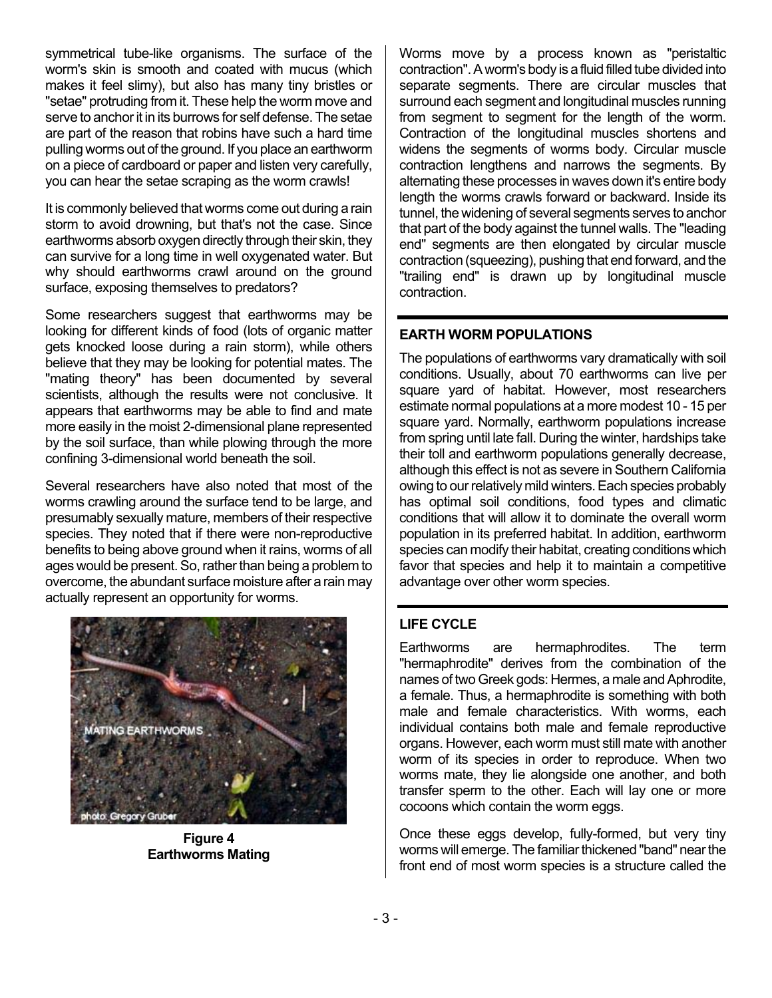symmetrical tube-like organisms. The surface of the worm's skin is smooth and coated with mucus (which makes it feel slimy), but also has many tiny bristles or "setae" protruding from it. These help the worm move and serve to anchor it in its burrows for self defense. The setae are part of the reason that robins have such a hard time pulling worms out of the ground. If you place an earthworm on a piece of cardboard or paper and listen very carefully, you can hear the setae scraping as the worm crawls!

It is commonly believed that worms come out during a rain storm to avoid drowning, but that's not the case. Since earthworms absorb oxygen directly through their skin, they can survive for a long time in well oxygenated water. But why should earthworms crawl around on the ground surface, exposing themselves to predators?

Some researchers suggest that earthworms may be looking for different kinds of food (lots of organic matter gets knocked loose during a rain storm), while others believe that they may be looking for potential mates. The "mating theory" has been documented by several scientists, although the results were not conclusive. It appears that earthworms may be able to find and mate more easily in the moist 2-dimensional plane represented by the soil surface, than while plowing through the more confining 3-dimensional world beneath the soil.

Several researchers have also noted that most of the worms crawling around the surface tend to be large, and presumably sexually mature, members of their respective species. They noted that if there were non-reproductive benefits to being above ground when it rains, worms of all ages would be present. So, rather than being a problem to overcome, the abundant surface moisture after a rain may actually represent an opportunity for worms.



**Figure 4 Earthworms Mating** 

Worms move by a process known as "peristaltic contraction". A worm's body is a fluid filled tube divided into separate segments. There are circular muscles that surround each segment and longitudinal muscles running from segment to segment for the length of the worm. Contraction of the longitudinal muscles shortens and widens the segments of worms body. Circular muscle contraction lengthens and narrows the segments. By alternating these processes in waves down it's entire body length the worms crawls forward or backward. Inside its tunnel, the widening of several segments serves to anchor that part of the body against the tunnel walls. The "leading end" segments are then elongated by circular muscle contraction (squeezing), pushing that end forward, and the "trailing end" is drawn up by longitudinal muscle contraction.

#### **EARTH WORM POPULATIONS**

The populations of earthworms vary dramatically with soil conditions. Usually, about 70 earthworms can live per square yard of habitat. However, most researchers estimate normal populations at a more modest 10 - 15 per square yard. Normally, earthworm populations increase from spring until late fall. During the winter, hardships take their toll and earthworm populations generally decrease, although this effect is not as severe in Southern California owing to our relatively mild winters. Each species probably has optimal soil conditions, food types and climatic conditions that will allow it to dominate the overall worm population in its preferred habitat. In addition, earthworm species can modify their habitat, creating conditions which favor that species and help it to maintain a competitive advantage over other worm species.

#### **LIFE CYCLE**

Earthworms are hermaphrodites. The term "hermaphrodite" derives from the combination of the names of two Greek gods: Hermes, a male and Aphrodite, a female. Thus, a hermaphrodite is something with both male and female characteristics. With worms, each individual contains both male and female reproductive organs. However, each worm must still mate with another worm of its species in order to reproduce. When two worms mate, they lie alongside one another, and both transfer sperm to the other. Each will lay one or more cocoons which contain the worm eggs.

Once these eggs develop, fully-formed, but very tiny worms will emerge. The familiar thickened "band" near the front end of most worm species is a structure called the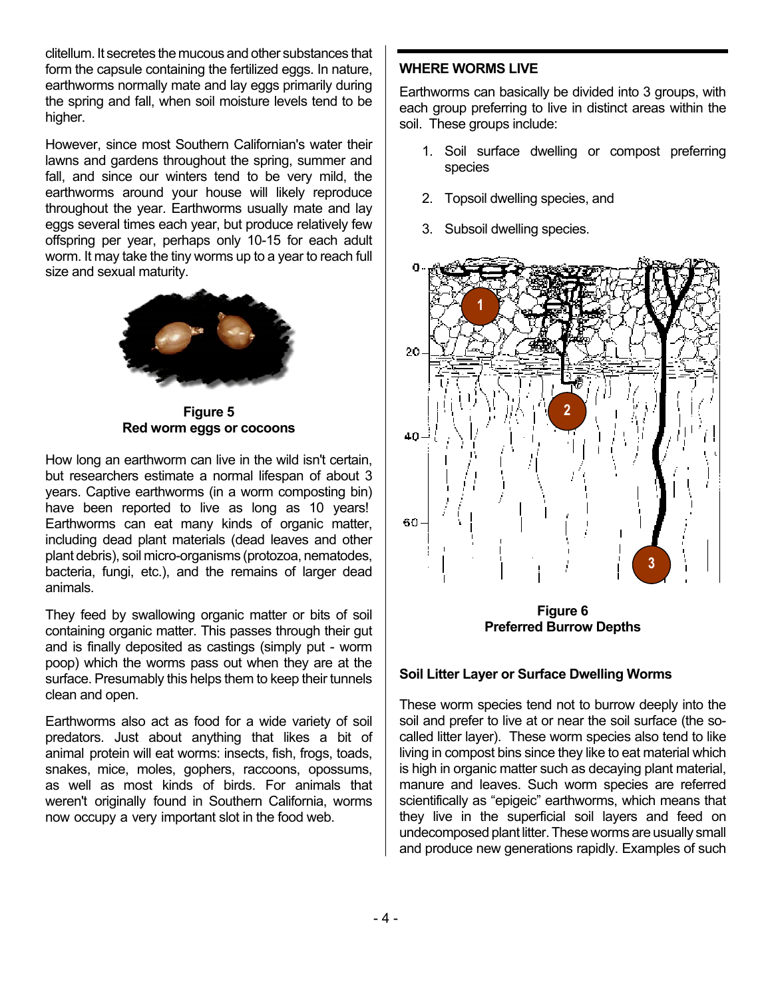clitellum. It secretes the mucous and other substances that form the capsule containing the fertilized eggs. In nature, earthworms normally mate and lay eggs primarily during the spring and fall, when soil moisture levels tend to be higher.

However, since most Southern Californian's water their lawns and gardens throughout the spring, summer and fall, and since our winters tend to be very mild, the earthworms around your house will likely reproduce throughout the year. Earthworms usually mate and lay eggs several times each year, but produce relatively few offspring per year, perhaps only 10-15 for each adult worm. It may take the tiny worms up to a year to reach full size and sexual maturity.



**Figure 5 Red worm eggs or cocoons**

How long an earthworm can live in the wild isn't certain, but researchers estimate a normal lifespan of about 3 years. Captive earthworms (in a worm composting bin) have been reported to live as long as 10 years! Earthworms can eat many kinds of organic matter, including dead plant materials (dead leaves and other plant debris), soil micro-organisms (protozoa, nematodes, bacteria, fungi, etc.), and the remains of larger dead animals.

They feed by swallowing organic matter or bits of soil containing organic matter. This passes through their gut and is finally deposited as castings (simply put - worm poop) which the worms pass out when they are at the surface. Presumably this helps them to keep their tunnels clean and open.

Earthworms also act as food for a wide variety of soil predators. Just about anything that likes a bit of animal protein will eat worms: insects, fish, frogs, toads, snakes, mice, moles, gophers, raccoons, opossums, as well as most kinds of birds. For animals that weren't originally found in Southern California, worms now occupy a very important slot in the food web.

## **WHERE WORMS LIVE**

Earthworms can basically be divided into 3 groups, with each group preferring to live in distinct areas within the soil. These groups include:

- 1. Soil surface dwelling or compost preferring species
- 2. Topsoil dwelling species, and
- 3. Subsoil dwelling species.



**Figure 6 Preferred Burrow Depths** 

#### **Soil Litter Layer or Surface Dwelling Worms**

These worm species tend not to burrow deeply into the soil and prefer to live at or near the soil surface (the socalled litter layer). These worm species also tend to like living in compost bins since they like to eat material which is high in organic matter such as decaying plant material, manure and leaves. Such worm species are referred scientifically as "epigeic" earthworms, which means that they live in the superficial soil layers and feed on undecomposed plant litter. These worms are usually small and produce new generations rapidly. Examples of such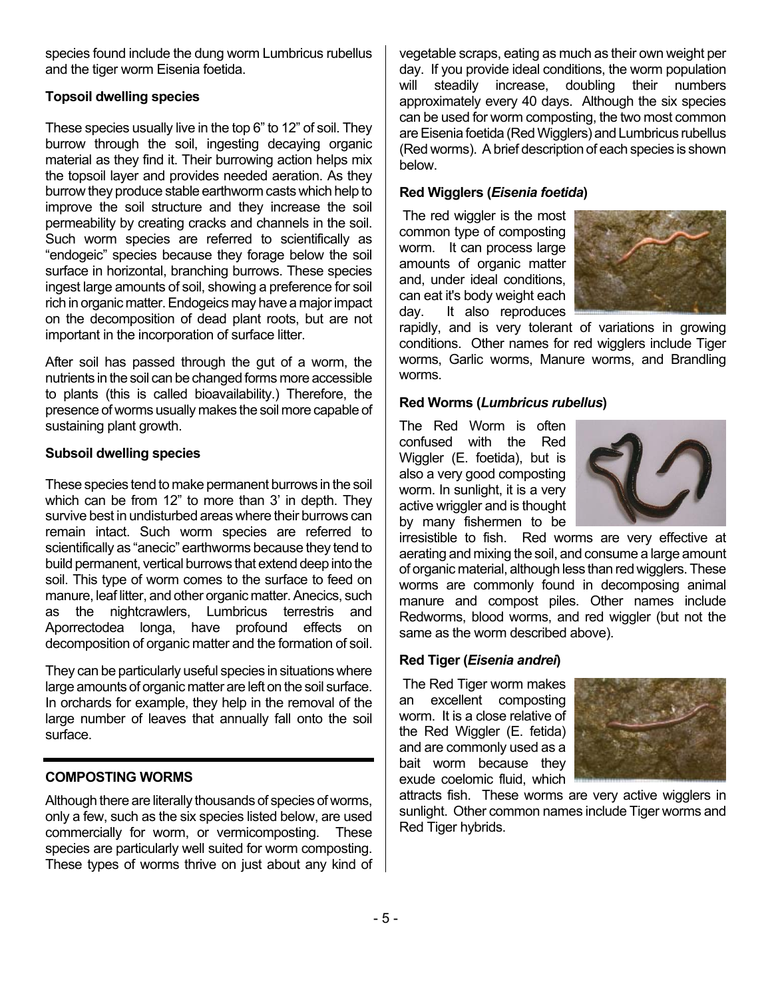species found include the dung worm Lumbricus rubellus and the tiger worm Eisenia foetida.

# **Topsoil dwelling species**

These species usually live in the top 6" to 12" of soil. They burrow through the soil, ingesting decaying organic material as they find it. Their burrowing action helps mix the topsoil layer and provides needed aeration. As they burrow they produce stable earthworm casts which help to improve the soil structure and they increase the soil permeability by creating cracks and channels in the soil. Such worm species are referred to scientifically as "endogeic" species because they forage below the soil surface in horizontal, branching burrows. These species ingest large amounts of soil, showing a preference for soil rich in organic matter. Endogeics may have a major impact on the decomposition of dead plant roots, but are not important in the incorporation of surface litter.

After soil has passed through the gut of a worm, the nutrients in the soil can be changed forms more accessible to plants (this is called bioavailability.) Therefore, the presence of worms usually makes the soil more capable of sustaining plant growth.

# **Subsoil dwelling species**

These species tend to make permanent burrows in the soil which can be from 12" to more than 3' in depth. They survive best in undisturbed areas where their burrows can remain intact. Such worm species are referred to scientifically as "anecic" earthworms because they tend to build permanent, vertical burrows that extend deep into the soil. This type of worm comes to the surface to feed on manure, leaf litter, and other organic matter. Anecics, such as the nightcrawlers, Lumbricus terrestris and Aporrectodea longa, have profound effects on decomposition of organic matter and the formation of soil.

They can be particularly useful species in situations where large amounts of organic matter are left on the soil surface. In orchards for example, they help in the removal of the large number of leaves that annually fall onto the soil surface.

# **COMPOSTING WORMS**

Although there are literally thousands of species of worms, only a few, such as the six species listed below, are used commercially for worm, or vermicomposting. These species are particularly well suited for worm composting. These types of worms thrive on just about any kind of vegetable scraps, eating as much as their own weight per day. If you provide ideal conditions, the worm population will steadily increase, doubling their numbers approximately every 40 days. Although the six species can be used for worm composting, the two most common are Eisenia foetida (Red Wigglers) and Lumbricus rubellus (Red worms). A brief description of each species is shown below.

## **Red Wigglers (***Eisenia foetida***)**

 The red wiggler is the most common type of composting worm. It can process large amounts of organic matter and, under ideal conditions, can eat it's body weight each day. It also reproduces



rapidly, and is very tolerant of variations in growing conditions. Other names for red wigglers include Tiger worms, Garlic worms, Manure worms, and Brandling worms.

## **Red Worms (***Lumbricus rubellus***)**

The Red Worm is often confused with the Red Wiggler (E. foetida), but is also a very good composting worm. In sunlight, it is a very active wriggler and is thought by many fishermen to be



irresistible to fish. Red worms are very effective at aerating and mixing the soil, and consume a large amount of organic material, although less than red wigglers. These worms are commonly found in decomposing animal manure and compost piles. Other names include Redworms, blood worms, and red wiggler (but not the same as the worm described above).

# **Red Tiger (***Eisenia andrei***)**

 The Red Tiger worm makes an excellent composting worm. It is a close relative of the Red Wiggler (E. fetida) and are commonly used as a bait worm because they exude coelomic fluid, which



attracts fish. These worms are very active wigglers in sunlight. Other common names include Tiger worms and Red Tiger hybrids.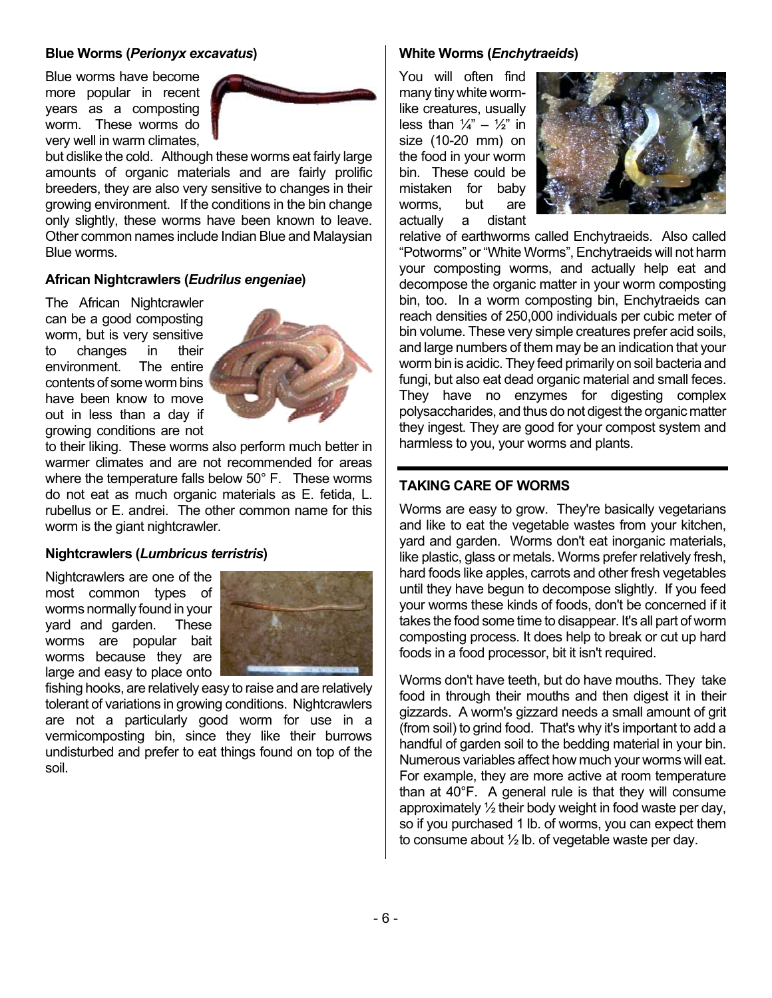#### **Blue Worms (***Perionyx excavatus***)**

Blue worms have become more popular in recent years as a composting worm. These worms do very well in warm climates,



but dislike the cold. Although these worms eat fairly large amounts of organic materials and are fairly prolific breeders, they are also very sensitive to changes in their growing environment. If the conditions in the bin change only slightly, these worms have been known to leave. Other common names include Indian Blue and Malaysian Blue worms.

#### **African Nightcrawlers (***Eudrilus engeniae***)**

The African Nightcrawler can be a good composting worm, but is very sensitive to changes in their environment. The entire contents of some worm bins have been know to move out in less than a day if growing conditions are not



to their liking. These worms also perform much better in warmer climates and are not recommended for areas where the temperature falls below 50° F. These worms do not eat as much organic materials as E. fetida, L. rubellus or E. andrei. The other common name for this worm is the giant nightcrawler.

#### **Nightcrawlers (***Lumbricus terristris***)**

Nightcrawlers are one of the most common types of worms normally found in your yard and garden. These worms are popular bait worms because they are large and easy to place onto



fishing hooks, are relatively easy to raise and are relatively tolerant of variations in growing conditions. Nightcrawlers are not a particularly good worm for use in a vermicomposting bin, since they like their burrows undisturbed and prefer to eat things found on top of the soil.

#### **White Worms (***Enchytraeids***)**

You will often find many tiny white wormlike creatures, usually less than  $\frac{1}{4}$ " –  $\frac{1}{2}$ " in size (10-20 mm) on the food in your worm bin. These could be mistaken for baby worms, but are actually a distant



relative of earthworms called Enchytraeids. Also called "Potworms" or "White Worms", Enchytraeids will not harm your composting worms, and actually help eat and decompose the organic matter in your worm composting bin, too. In a worm composting bin, Enchytraeids can reach densities of 250,000 individuals per cubic meter of bin volume. These very simple creatures prefer acid soils, and large numbers of them may be an indication that your worm bin is acidic. They feed primarily on soil bacteria and fungi, but also eat dead organic material and small feces. They have no enzymes for digesting complex polysaccharides, and thus do not digest the organic matter they ingest. They are good for your compost system and harmless to you, your worms and plants.

#### **TAKING CARE OF WORMS**

Worms are easy to grow. They're basically vegetarians and like to eat the vegetable wastes from your kitchen, yard and garden. Worms don't eat inorganic materials, like plastic, glass or metals. Worms prefer relatively fresh, hard foods like apples, carrots and other fresh vegetables until they have begun to decompose slightly. If you feed your worms these kinds of foods, don't be concerned if it takes the food some time to disappear. It's all part of worm composting process. It does help to break or cut up hard foods in a food processor, bit it isn't required.

Worms don't have teeth, but do have mouths. They take food in through their mouths and then digest it in their gizzards. A worm's gizzard needs a small amount of grit (from soil) to grind food. That's why it's important to add a handful of garden soil to the bedding material in your bin. Numerous variables affect how much your worms will eat. For example, they are more active at room temperature than at 40°F. A general rule is that they will consume approximately ½ their body weight in food waste per day, so if you purchased 1 lb. of worms, you can expect them to consume about ½ lb. of vegetable waste per day.